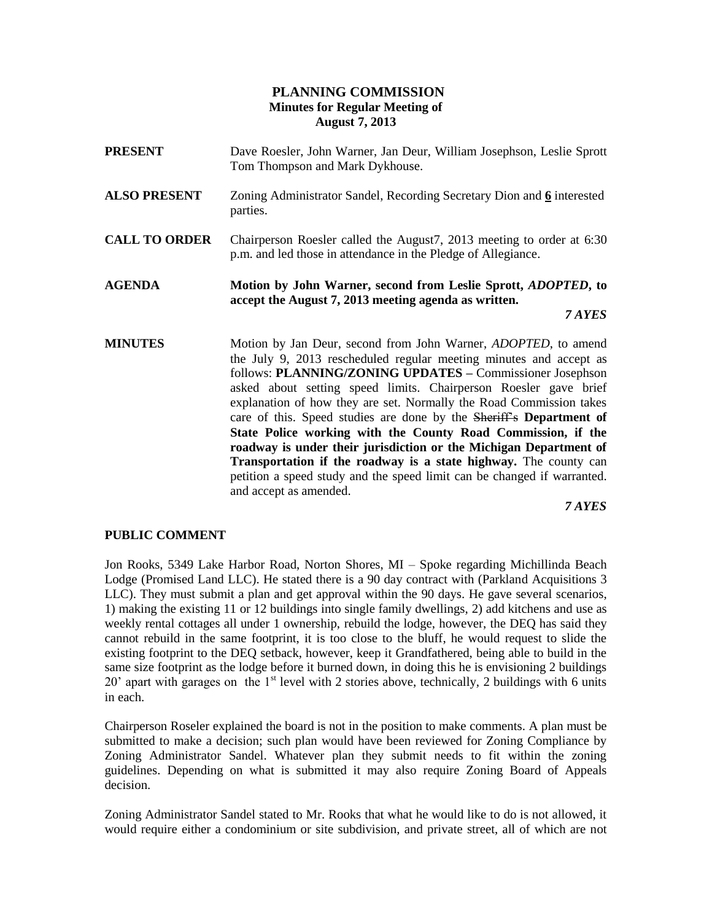## **PLANNING COMMISSION Minutes for Regular Meeting of August 7, 2013**

- **PRESENT** Dave Roesler, John Warner, Jan Deur, William Josephson, Leslie Sprott Tom Thompson and Mark Dykhouse.
- **ALSO PRESENT** Zoning Administrator Sandel, Recording Secretary Dion and **6** interested parties.
- **CALL TO ORDER** Chairperson Roesler called the August7, 2013 meeting to order at 6:30 p.m. and led those in attendance in the Pledge of Allegiance.
- **AGENDA Motion by John Warner, second from Leslie Sprott,** *ADOPTED***, to accept the August 7, 2013 meeting agenda as written.**

*7 AYES*

**MINUTES** Motion by Jan Deur, second from John Warner, *ADOPTED*, to amend the July 9, 2013 rescheduled regular meeting minutes and accept as follows: **PLANNING/ZONING UPDATES –** Commissioner Josephson asked about setting speed limits. Chairperson Roesler gave brief explanation of how they are set. Normally the Road Commission takes care of this. Speed studies are done by the Sheriff's **Department of State Police working with the County Road Commission, if the roadway is under their jurisdiction or the Michigan Department of Transportation if the roadway is a state highway.** The county can petition a speed study and the speed limit can be changed if warranted. and accept as amended.

*7 AYES*

### **PUBLIC COMMENT**

Jon Rooks, 5349 Lake Harbor Road, Norton Shores, MI – Spoke regarding Michillinda Beach Lodge (Promised Land LLC). He stated there is a 90 day contract with (Parkland Acquisitions 3 LLC). They must submit a plan and get approval within the 90 days. He gave several scenarios, 1) making the existing 11 or 12 buildings into single family dwellings, 2) add kitchens and use as weekly rental cottages all under 1 ownership, rebuild the lodge, however, the DEQ has said they cannot rebuild in the same footprint, it is too close to the bluff, he would request to slide the existing footprint to the DEQ setback, however, keep it Grandfathered, being able to build in the same size footprint as the lodge before it burned down, in doing this he is envisioning 2 buildings 20' apart with garages on the  $1<sup>st</sup>$  level with 2 stories above, technically, 2 buildings with 6 units in each.

Chairperson Roseler explained the board is not in the position to make comments. A plan must be submitted to make a decision; such plan would have been reviewed for Zoning Compliance by Zoning Administrator Sandel. Whatever plan they submit needs to fit within the zoning guidelines. Depending on what is submitted it may also require Zoning Board of Appeals decision.

Zoning Administrator Sandel stated to Mr. Rooks that what he would like to do is not allowed, it would require either a condominium or site subdivision, and private street, all of which are not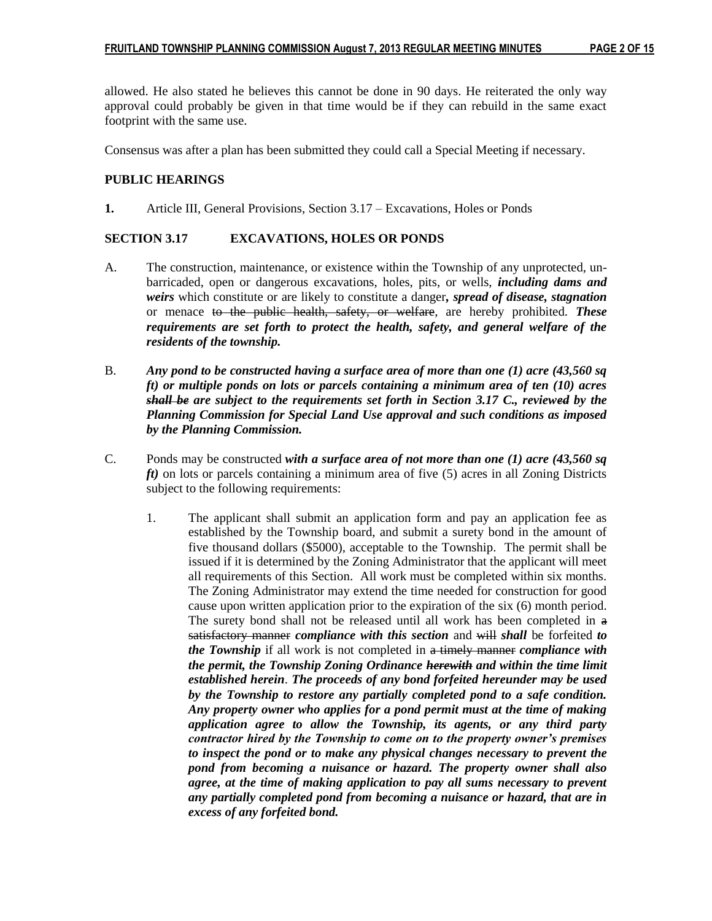allowed. He also stated he believes this cannot be done in 90 days. He reiterated the only way approval could probably be given in that time would be if they can rebuild in the same exact footprint with the same use.

Consensus was after a plan has been submitted they could call a Special Meeting if necessary.

## **PUBLIC HEARINGS**

**1.** Article III, General Provisions, Section 3.17 – Excavations, Holes or Ponds

### **SECTION 3.17 EXCAVATIONS, HOLES OR PONDS**

- A. The construction, maintenance, or existence within the Township of any unprotected, unbarricaded, open or dangerous excavations, holes, pits, or wells, *including dams and weirs* which constitute or are likely to constitute a danger*, spread of disease, stagnation* or menace to the public health, safety, or welfare, are hereby prohibited. *These requirements are set forth to protect the health, safety, and general welfare of the residents of the township.*
- B. *Any pond to be constructed having a surface area of more than one (1) acre (43,560 sq ft) or multiple ponds on lots or parcels containing a minimum area of ten (10) acres shall be are subject to the requirements set forth in Section 3.17 C., reviewed by the Planning Commission for Special Land Use approval and such conditions as imposed by the Planning Commission.*
- C. Ponds may be constructed *with a surface area of not more than one (1) acre (43,560 sq ft)* on lots or parcels containing a minimum area of five (5) acres in all Zoning Districts subject to the following requirements:
	- 1. The applicant shall submit an application form and pay an application fee as established by the Township board, and submit a surety bond in the amount of five thousand dollars (\$5000), acceptable to the Township. The permit shall be issued if it is determined by the Zoning Administrator that the applicant will meet all requirements of this Section. All work must be completed within six months. The Zoning Administrator may extend the time needed for construction for good cause upon written application prior to the expiration of the six (6) month period. The surety bond shall not be released until all work has been completed in a satisfactory manner *compliance with this section* and will *shall* be forfeited *to the Township* if all work is not completed in a timely manner *compliance with the permit, the Township Zoning Ordinance herewith and within the time limit established herein*. *The proceeds of any bond forfeited hereunder may be used by the Township to restore any partially completed pond to a safe condition. Any property owner who applies for a pond permit must at the time of making application agree to allow the Township, its agents, or any third party contractor hired by the Township to come on to the property owner's premises to inspect the pond or to make any physical changes necessary to prevent the pond from becoming a nuisance or hazard. The property owner shall also agree, at the time of making application to pay all sums necessary to prevent any partially completed pond from becoming a nuisance or hazard, that are in excess of any forfeited bond.*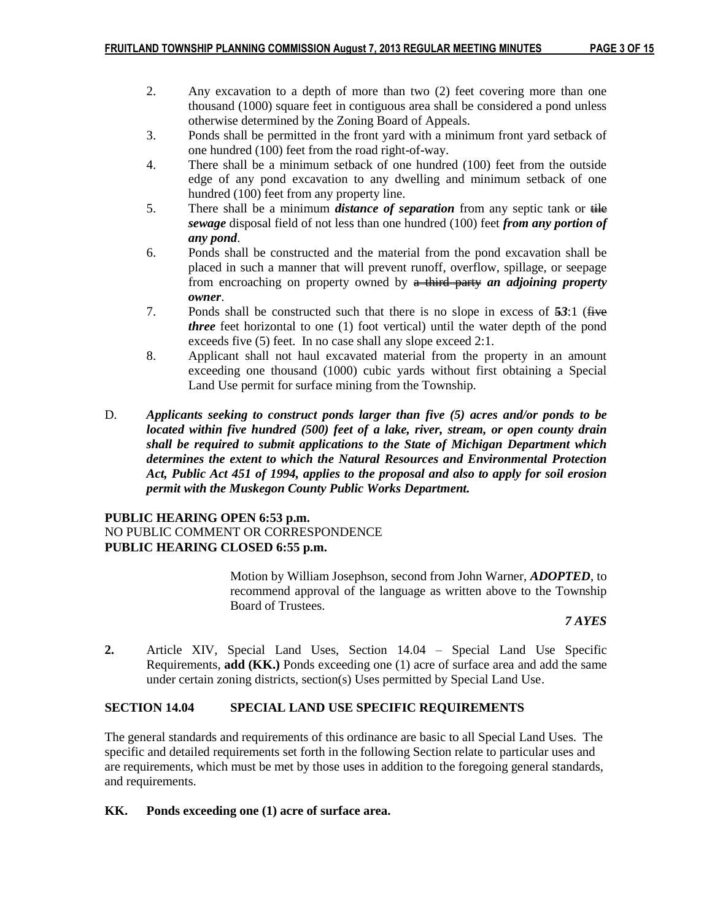- 2. Any excavation to a depth of more than two (2) feet covering more than one thousand (1000) square feet in contiguous area shall be considered a pond unless otherwise determined by the Zoning Board of Appeals.
- 3. Ponds shall be permitted in the front yard with a minimum front yard setback of one hundred (100) feet from the road right-of-way.
- 4. There shall be a minimum setback of one hundred (100) feet from the outside edge of any pond excavation to any dwelling and minimum setback of one hundred (100) feet from any property line.
- 5. There shall be a minimum *distance of separation* from any septic tank or tile *sewage* disposal field of not less than one hundred (100) feet *from any portion of any pond*.
- 6. Ponds shall be constructed and the material from the pond excavation shall be placed in such a manner that will prevent runoff, overflow, spillage, or seepage from encroaching on property owned by a third party *an adjoining property owner*.
- 7. Ponds shall be constructed such that there is no slope in excess of **5***3*:1 (five *three* feet horizontal to one (1) foot vertical) until the water depth of the pond exceeds five (5) feet. In no case shall any slope exceed 2:1.
- 8. Applicant shall not haul excavated material from the property in an amount exceeding one thousand (1000) cubic yards without first obtaining a Special Land Use permit for surface mining from the Township.
- D. *Applicants seeking to construct ponds larger than five (5) acres and/or ponds to be located within five hundred (500) feet of a lake, river, stream, or open county drain shall be required to submit applications to the State of Michigan Department which determines the extent to which the Natural Resources and Environmental Protection Act, Public Act 451 of 1994, applies to the proposal and also to apply for soil erosion permit with the Muskegon County Public Works Department.*

## **PUBLIC HEARING OPEN 6:53 p.m.** NO PUBLIC COMMENT OR CORRESPONDENCE **PUBLIC HEARING CLOSED 6:55 p.m.**

Motion by William Josephson, second from John Warner, *ADOPTED*, to recommend approval of the language as written above to the Township Board of Trustees.

#### *7 AYES*

**2.** Article XIV, Special Land Uses, Section 14.04 – Special Land Use Specific Requirements, **add (KK.)** Ponds exceeding one (1) acre of surface area and add the same under certain zoning districts, section(s) Uses permitted by Special Land Use.

#### **SECTION 14.04 SPECIAL LAND USE SPECIFIC REQUIREMENTS**

The general standards and requirements of this ordinance are basic to all Special Land Uses. The specific and detailed requirements set forth in the following Section relate to particular uses and are requirements, which must be met by those uses in addition to the foregoing general standards, and requirements.

#### **KK. Ponds exceeding one (1) acre of surface area.**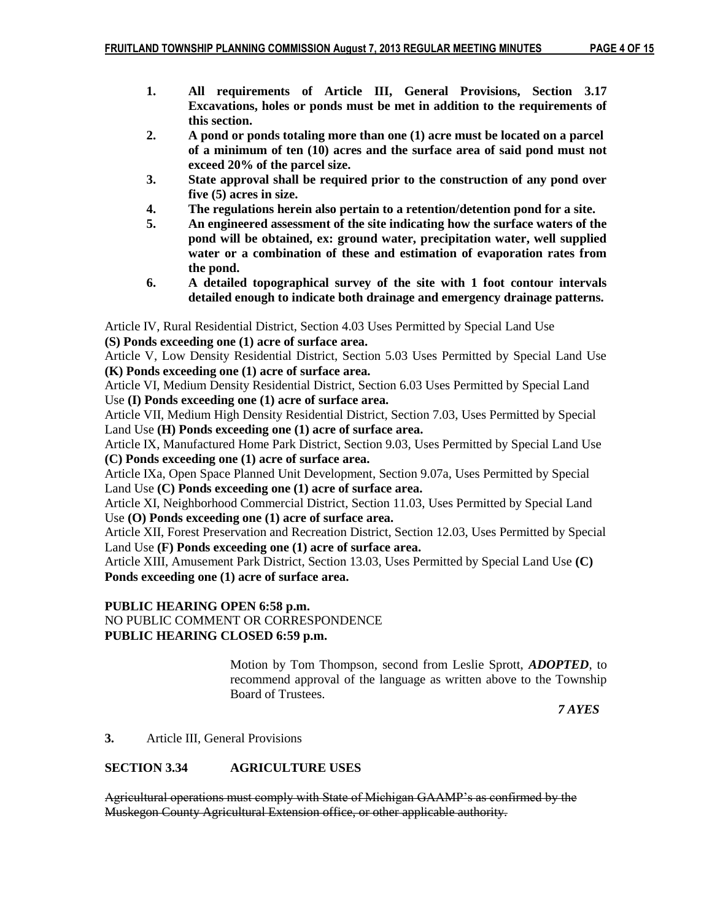- **1. All requirements of Article III, General Provisions, Section 3.17 Excavations, holes or ponds must be met in addition to the requirements of this section.**
- **2. A pond or ponds totaling more than one (1) acre must be located on a parcel of a minimum of ten (10) acres and the surface area of said pond must not exceed 20% of the parcel size.**
- **3. State approval shall be required prior to the construction of any pond over five (5) acres in size.**
- **4. The regulations herein also pertain to a retention/detention pond for a site.**
- **5. An engineered assessment of the site indicating how the surface waters of the pond will be obtained, ex: ground water, precipitation water, well supplied water or a combination of these and estimation of evaporation rates from the pond.**
- **6. A detailed topographical survey of the site with 1 foot contour intervals detailed enough to indicate both drainage and emergency drainage patterns.**

Article IV, Rural Residential District, Section 4.03 Uses Permitted by Special Land Use **(S) Ponds exceeding one (1) acre of surface area.**

Article V, Low Density Residential District, Section 5.03 Uses Permitted by Special Land Use **(K) Ponds exceeding one (1) acre of surface area.**

Article VI, Medium Density Residential District, Section 6.03 Uses Permitted by Special Land Use **(I) Ponds exceeding one (1) acre of surface area.**

Article VII, Medium High Density Residential District, Section 7.03, Uses Permitted by Special Land Use **(H) Ponds exceeding one (1) acre of surface area.**

Article IX, Manufactured Home Park District, Section 9.03, Uses Permitted by Special Land Use **(C) Ponds exceeding one (1) acre of surface area.**

Article IXa, Open Space Planned Unit Development, Section 9.07a, Uses Permitted by Special Land Use **(C) Ponds exceeding one (1) acre of surface area.**

Article XI, Neighborhood Commercial District, Section 11.03, Uses Permitted by Special Land Use **(O) Ponds exceeding one (1) acre of surface area.**

Article XII, Forest Preservation and Recreation District, Section 12.03, Uses Permitted by Special Land Use **(F) Ponds exceeding one (1) acre of surface area.**

Article XIII, Amusement Park District, Section 13.03, Uses Permitted by Special Land Use **(C) Ponds exceeding one (1) acre of surface area.**

# **PUBLIC HEARING OPEN 6:58 p.m.**

# NO PUBLIC COMMENT OR CORRESPONDENCE **PUBLIC HEARING CLOSED 6:59 p.m.**

Motion by Tom Thompson, second from Leslie Sprott, *ADOPTED*, to recommend approval of the language as written above to the Township Board of Trustees.

 *7 AYES*

# **3.** Article III, General Provisions

# **SECTION 3.34 AGRICULTURE USES**

Agricultural operations must comply with State of Michigan GAAMP's as confirmed by the Muskegon County Agricultural Extension office, or other applicable authority.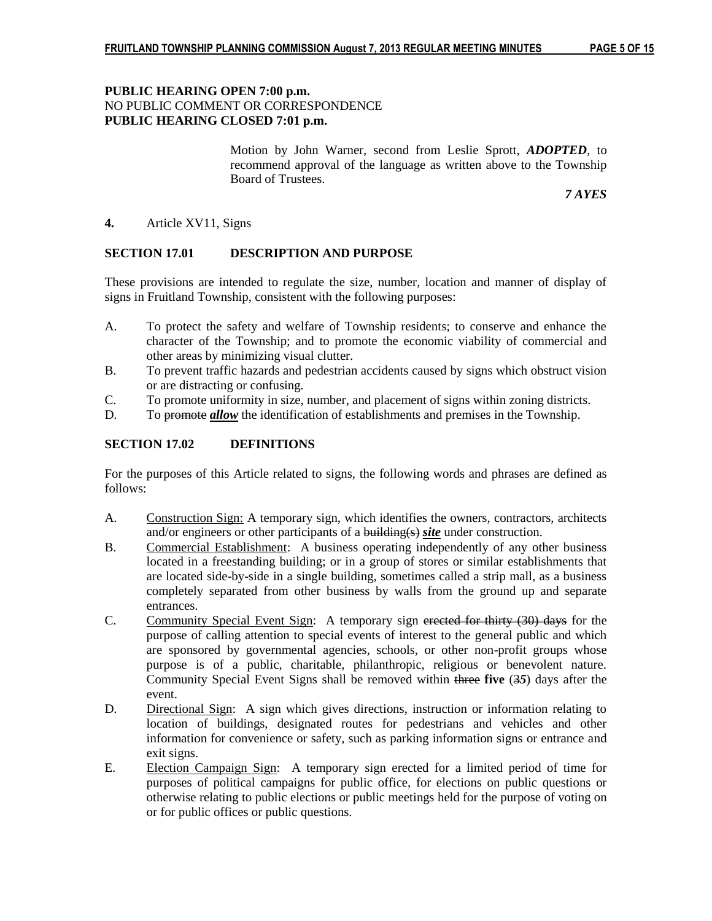## **PUBLIC HEARING OPEN 7:00 p.m.** NO PUBLIC COMMENT OR CORRESPONDENCE **PUBLIC HEARING CLOSED 7:01 p.m.**

Motion by John Warner, second from Leslie Sprott, *ADOPTED*, to recommend approval of the language as written above to the Township Board of Trustees.

*7 AYES*

#### **4.** Article XV11, Signs

### **SECTION 17.01 DESCRIPTION AND PURPOSE**

These provisions are intended to regulate the size, number, location and manner of display of signs in Fruitland Township, consistent with the following purposes:

- A. To protect the safety and welfare of Township residents; to conserve and enhance the character of the Township; and to promote the economic viability of commercial and other areas by minimizing visual clutter.
- B. To prevent traffic hazards and pedestrian accidents caused by signs which obstruct vision or are distracting or confusing.
- C. To promote uniformity in size, number, and placement of signs within zoning districts.
- D. To promote *allow* the identification of establishments and premises in the Township.

## **SECTION 17.02 DEFINITIONS**

For the purposes of this Article related to signs, the following words and phrases are defined as follows:

- A. Construction Sign: A temporary sign, which identifies the owners, contractors, architects and/or engineers or other participants of a building(s) *site* under construction.
- B. Commercial Establishment: A business operating independently of any other business located in a freestanding building; or in a group of stores or similar establishments that are located side-by-side in a single building, sometimes called a strip mall, as a business completely separated from other business by walls from the ground up and separate entrances.
- C. Community Special Event Sign: A temporary sign erected for thirty (30) days for the purpose of calling attention to special events of interest to the general public and which are sponsored by governmental agencies, schools, or other non-profit groups whose purpose is of a public, charitable, philanthropic, religious or benevolent nature. Community Special Event Signs shall be removed within three **five** (3*5*) days after the event.
- D. Directional Sign: A sign which gives directions, instruction or information relating to location of buildings, designated routes for pedestrians and vehicles and other information for convenience or safety, such as parking information signs or entrance and exit signs.
- E. Election Campaign Sign: A temporary sign erected for a limited period of time for purposes of political campaigns for public office, for elections on public questions or otherwise relating to public elections or public meetings held for the purpose of voting on or for public offices or public questions.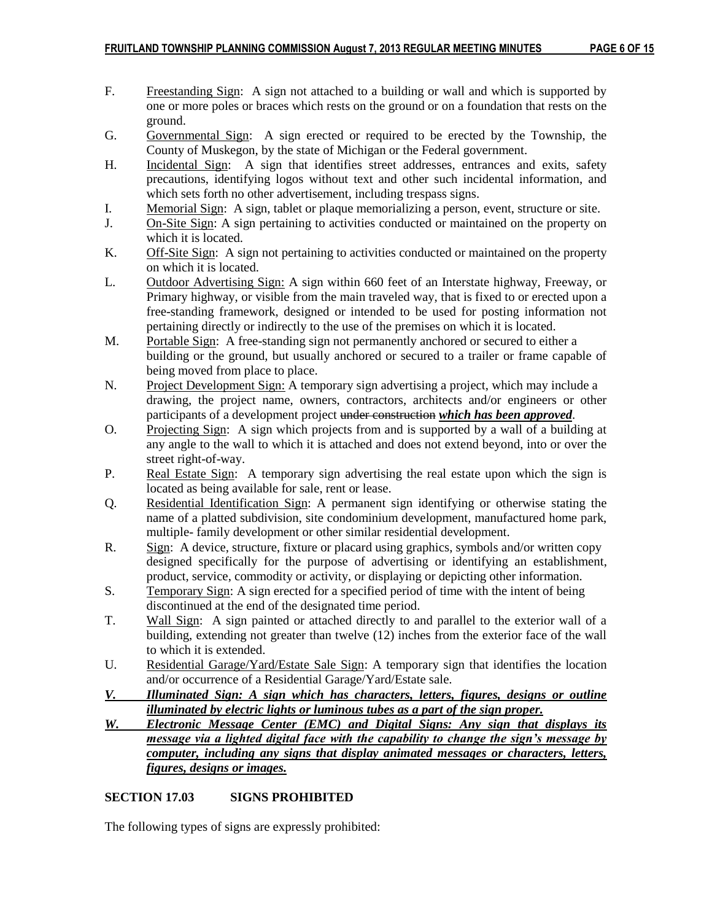- F. Freestanding Sign: A sign not attached to a building or wall and which is supported by one or more poles or braces which rests on the ground or on a foundation that rests on the ground.
- G. Governmental Sign: A sign erected or required to be erected by the Township, the County of Muskegon, by the state of Michigan or the Federal government.
- H. Incidental Sign: A sign that identifies street addresses, entrances and exits, safety precautions, identifying logos without text and other such incidental information, and which sets forth no other advertisement, including trespass signs.
- I. Memorial Sign: A sign, tablet or plaque memorializing a person, event, structure or site.
- J. On-Site Sign: A sign pertaining to activities conducted or maintained on the property on which it is located.
- K. Off-Site Sign: A sign not pertaining to activities conducted or maintained on the property on which it is located.
- L. Outdoor Advertising Sign: A sign within 660 feet of an Interstate highway, Freeway, or Primary highway, or visible from the main traveled way, that is fixed to or erected upon a free-standing framework, designed or intended to be used for posting information not pertaining directly or indirectly to the use of the premises on which it is located.
- M. Portable Sign: A free-standing sign not permanently anchored or secured to either a building or the ground, but usually anchored or secured to a trailer or frame capable of being moved from place to place.
- N. Project Development Sign: A temporary sign advertising a project, which may include a drawing, the project name, owners, contractors, architects and/or engineers or other participants of a development project under construction *which has been approved*.
- O. Projecting Sign: A sign which projects from and is supported by a wall of a building at any angle to the wall to which it is attached and does not extend beyond, into or over the street right-of-way.
- P. Real Estate Sign: A temporary sign advertising the real estate upon which the sign is located as being available for sale, rent or lease.
- Q. Residential Identification Sign: A permanent sign identifying or otherwise stating the name of a platted subdivision, site condominium development, manufactured home park, multiple- family development or other similar residential development.
- R. **Sign:** A device, structure, fixture or placard using graphics, symbols and/or written copy designed specifically for the purpose of advertising or identifying an establishment, product, service, commodity or activity, or displaying or depicting other information.
- S. Temporary Sign: A sign erected for a specified period of time with the intent of being discontinued at the end of the designated time period.
- T. Wall Sign: A sign painted or attached directly to and parallel to the exterior wall of a building, extending not greater than twelve (12) inches from the exterior face of the wall to which it is extended.
- U. Residential Garage/Yard/Estate Sale Sign: A temporary sign that identifies the location and/or occurrence of a Residential Garage/Yard/Estate sale.
- *V. Illuminated Sign: A sign which has characters, letters, figures, designs or outline illuminated by electric lights or luminous tubes as a part of the sign proper.*
- *W. Electronic Message Center (EMC) and Digital Signs: Any sign that displays its message via a lighted digital face with the capability to change the sign's message by computer, including any signs that display animated messages or characters, letters, figures, designs or images.*

# **SECTION 17.03 SIGNS PROHIBITED**

The following types of signs are expressly prohibited: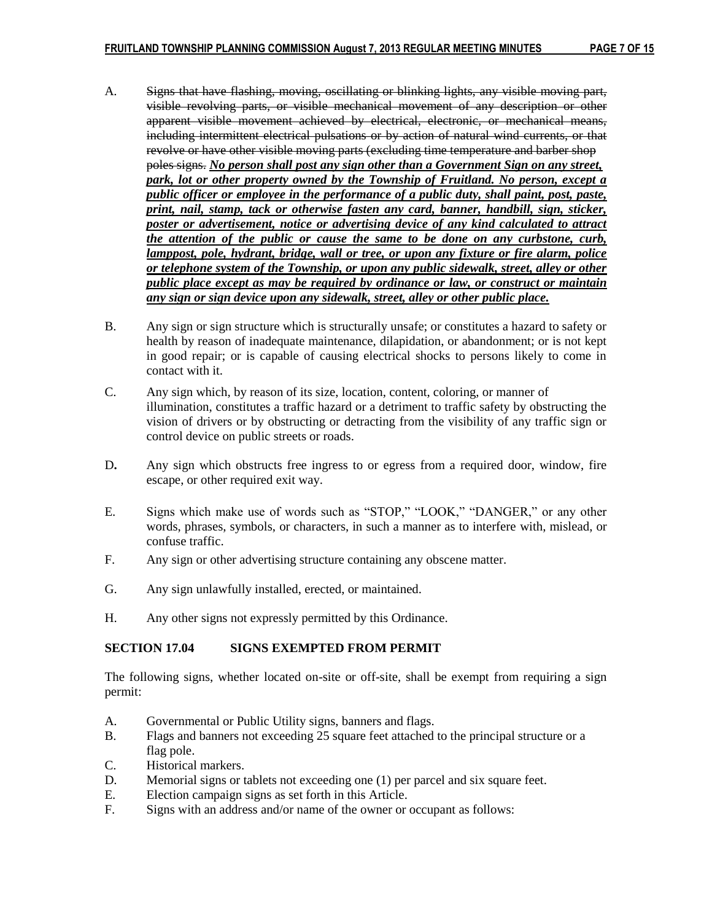- A. Signs that have flashing, moving, oscillating or blinking lights, any visible moving part, visible revolving parts, or visible mechanical movement of any description or other apparent visible movement achieved by electrical, electronic, or mechanical means, including intermittent electrical pulsations or by action of natural wind currents, or that revolve or have other visible moving parts (excluding time temperature and barber shop poles signs. *No person shall post any sign other than a Government Sign on any street, park, lot or other property owned by the Township of Fruitland. No person, except a public officer or employee in the performance of a public duty, shall paint, post, paste, print, nail, stamp, tack or otherwise fasten any card, banner, handbill, sign, sticker, poster or advertisement, notice or advertising device of any kind calculated to attract the attention of the public or cause the same to be done on any curbstone, curb, lamppost, pole, hydrant, bridge, wall or tree, or upon any fixture or fire alarm, police or telephone system of the Township, or upon any public sidewalk, street, alley or other public place except as may be required by ordinance or law, or construct or maintain any sign or sign device upon any sidewalk, street, alley or other public place.*
- B. Any sign or sign structure which is structurally unsafe; or constitutes a hazard to safety or health by reason of inadequate maintenance, dilapidation, or abandonment; or is not kept in good repair; or is capable of causing electrical shocks to persons likely to come in contact with it.
- C. Any sign which, by reason of its size, location, content, coloring, or manner of illumination, constitutes a traffic hazard or a detriment to traffic safety by obstructing the vision of drivers or by obstructing or detracting from the visibility of any traffic sign or control device on public streets or roads.
- D**.** Any sign which obstructs free ingress to or egress from a required door, window, fire escape, or other required exit way.
- E. Signs which make use of words such as "STOP," "LOOK," "DANGER," or any other words, phrases, symbols, or characters, in such a manner as to interfere with, mislead, or confuse traffic.
- F. Any sign or other advertising structure containing any obscene matter.
- G. Any sign unlawfully installed, erected, or maintained.
- H. Any other signs not expressly permitted by this Ordinance.

### **SECTION 17.04 SIGNS EXEMPTED FROM PERMIT**

The following signs, whether located on-site or off-site, shall be exempt from requiring a sign permit:

- A. Governmental or Public Utility signs, banners and flags.
- B. Flags and banners not exceeding 25 square feet attached to the principal structure or a flag pole.
- C. Historical markers.
- D. Memorial signs or tablets not exceeding one (1) per parcel and six square feet.
- E. Election campaign signs as set forth in this Article.
- F. Signs with an address and/or name of the owner or occupant as follows: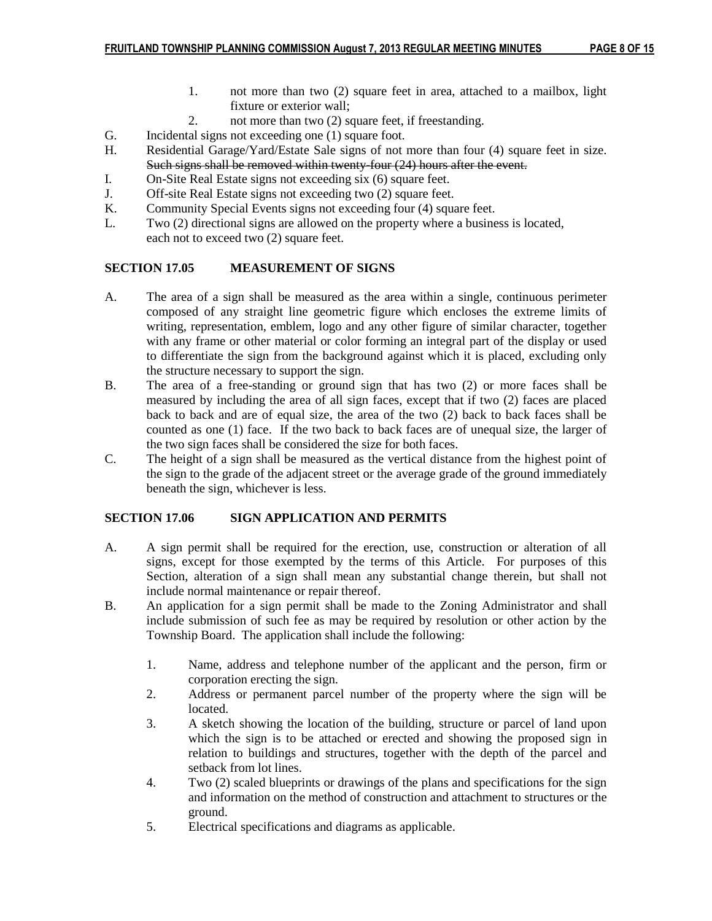- 1. not more than two (2) square feet in area, attached to a mailbox, light fixture or exterior wall;
- 2. not more than two (2) square feet, if freestanding.
- G. Incidental signs not exceeding one (1) square foot.
- H. Residential Garage/Yard/Estate Sale signs of not more than four (4) square feet in size. Such signs shall be removed within twenty four (24) hours after the event.
- I. On-Site Real Estate signs not exceeding six (6) square feet.
- J. Off-site Real Estate signs not exceeding two (2) square feet.<br>K. Community Special Events signs not exceeding four (4) square
- Community Special Events signs not exceeding four (4) square feet.
- L. Two (2) directional signs are allowed on the property where a business is located, each not to exceed two (2) square feet.

## **SECTION 17.05 MEASUREMENT OF SIGNS**

- A. The area of a sign shall be measured as the area within a single, continuous perimeter composed of any straight line geometric figure which encloses the extreme limits of writing, representation, emblem, logo and any other figure of similar character, together with any frame or other material or color forming an integral part of the display or used to differentiate the sign from the background against which it is placed, excluding only the structure necessary to support the sign.
- B. The area of a free-standing or ground sign that has two (2) or more faces shall be measured by including the area of all sign faces, except that if two (2) faces are placed back to back and are of equal size, the area of the two (2) back to back faces shall be counted as one (1) face. If the two back to back faces are of unequal size, the larger of the two sign faces shall be considered the size for both faces.
- C. The height of a sign shall be measured as the vertical distance from the highest point of the sign to the grade of the adjacent street or the average grade of the ground immediately beneath the sign, whichever is less.

# **SECTION 17.06 SIGN APPLICATION AND PERMITS**

- A. A sign permit shall be required for the erection, use, construction or alteration of all signs, except for those exempted by the terms of this Article. For purposes of this Section, alteration of a sign shall mean any substantial change therein, but shall not include normal maintenance or repair thereof.
- B. An application for a sign permit shall be made to the Zoning Administrator and shall include submission of such fee as may be required by resolution or other action by the Township Board. The application shall include the following:
	- 1. Name, address and telephone number of the applicant and the person, firm or corporation erecting the sign.
	- 2. Address or permanent parcel number of the property where the sign will be located.
	- 3. A sketch showing the location of the building, structure or parcel of land upon which the sign is to be attached or erected and showing the proposed sign in relation to buildings and structures, together with the depth of the parcel and setback from lot lines.
	- 4. Two (2) scaled blueprints or drawings of the plans and specifications for the sign and information on the method of construction and attachment to structures or the ground.
	- 5. Electrical specifications and diagrams as applicable.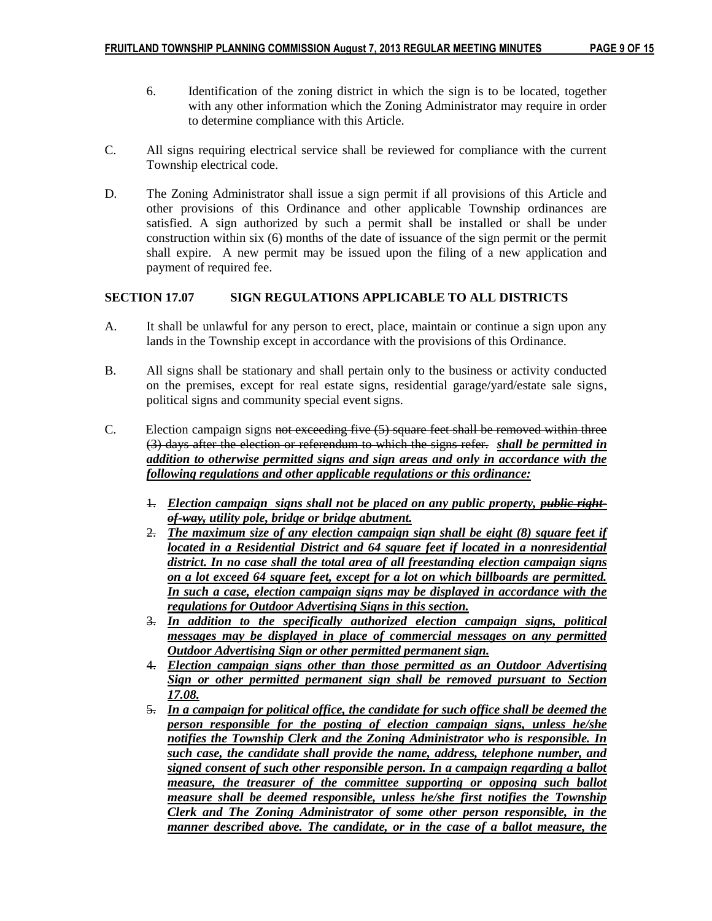- 6. Identification of the zoning district in which the sign is to be located, together with any other information which the Zoning Administrator may require in order to determine compliance with this Article.
- C. All signs requiring electrical service shall be reviewed for compliance with the current Township electrical code.
- D. The Zoning Administrator shall issue a sign permit if all provisions of this Article and other provisions of this Ordinance and other applicable Township ordinances are satisfied. A sign authorized by such a permit shall be installed or shall be under construction within six (6) months of the date of issuance of the sign permit or the permit shall expire. A new permit may be issued upon the filing of a new application and payment of required fee.

## **SECTION 17.07 SIGN REGULATIONS APPLICABLE TO ALL DISTRICTS**

- A. It shall be unlawful for any person to erect, place, maintain or continue a sign upon any lands in the Township except in accordance with the provisions of this Ordinance.
- B. All signs shall be stationary and shall pertain only to the business or activity conducted on the premises, except for real estate signs, residential garage/yard/estate sale signs, political signs and community special event signs.
- C. Election campaign signs not exceeding five (5) square feet shall be removed within three (3) days after the election or referendum to which the signs refer. *shall be permitted in addition to otherwise permitted signs and sign areas and only in accordance with the following regulations and other applicable regulations or this ordinance:*
	- 1. *Election campaign signs shall not be placed on any public property, public rightof-way, utility pole, bridge or bridge abutment.*
	- 2. *The maximum size of any election campaign sign shall be eight (8) square feet if located in a Residential District and 64 square feet if located in a nonresidential district. In no case shall the total area of all freestanding election campaign signs on a lot exceed 64 square feet, except for a lot on which billboards are permitted. In such a case, election campaign signs may be displayed in accordance with the regulations for Outdoor Advertising Signs in this section.*
	- 3. *In addition to the specifically authorized election campaign signs, political messages may be displayed in place of commercial messages on any permitted Outdoor Advertising Sign or other permitted permanent sign.*
	- 4. *Election campaign signs other than those permitted as an Outdoor Advertising Sign or other permitted permanent sign shall be removed pursuant to Section 17.08.*
	- 5. *In a campaign for political office, the candidate for such office shall be deemed the person responsible for the posting of election campaign signs, unless he/she notifies the Township Clerk and the Zoning Administrator who is responsible. In such case, the candidate shall provide the name, address, telephone number, and signed consent of such other responsible person. In a campaign regarding a ballot measure, the treasurer of the committee supporting or opposing such ballot measure shall be deemed responsible, unless he/she first notifies the Township Clerk and The Zoning Administrator of some other person responsible, in the manner described above. The candidate, or in the case of a ballot measure, the*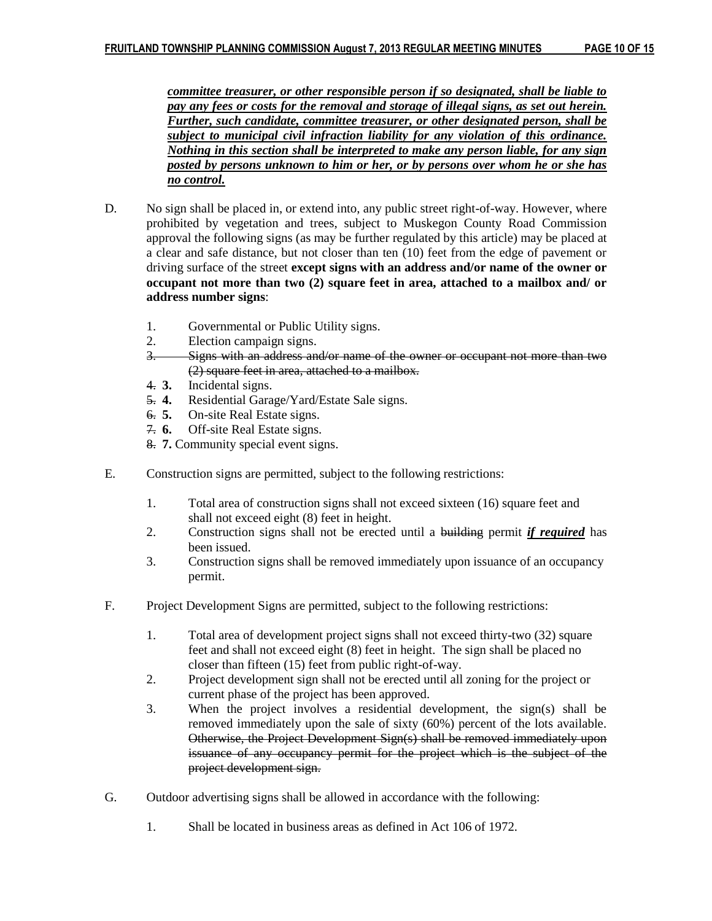*committee treasurer, or other responsible person if so designated, shall be liable to pay any fees or costs for the removal and storage of illegal signs, as set out herein. Further, such candidate, committee treasurer, or other designated person, shall be subject to municipal civil infraction liability for any violation of this ordinance. Nothing in this section shall be interpreted to make any person liable, for any sign posted by persons unknown to him or her, or by persons over whom he or she has no control.*

- D. No sign shall be placed in, or extend into, any public street right-of-way. However, where prohibited by vegetation and trees, subject to Muskegon County Road Commission approval the following signs (as may be further regulated by this article) may be placed at a clear and safe distance, but not closer than ten (10) feet from the edge of pavement or driving surface of the street **except signs with an address and/or name of the owner or occupant not more than two (2) square feet in area, attached to a mailbox and/ or address number signs**:
	- 1. Governmental or Public Utility signs.
	- 2. Election campaign signs.
	- 3. Signs with an address and/or name of the owner or occupant not more than two (2) square feet in area, attached to a mailbox.
	- 4. **3.** Incidental signs.
	- 5. **4.** Residential Garage/Yard/Estate Sale signs.
	- 6. **5.** On-site Real Estate signs.
	- 7. **6.** Off-site Real Estate signs.
	- 8. **7.** Community special event signs.
- E. Construction signs are permitted, subject to the following restrictions:
	- 1. Total area of construction signs shall not exceed sixteen (16) square feet and shall not exceed eight (8) feet in height.
	- 2. Construction signs shall not be erected until a building permit *if required* has been issued.
	- 3. Construction signs shall be removed immediately upon issuance of an occupancy permit.
- F. Project Development Signs are permitted, subject to the following restrictions:
	- 1. Total area of development project signs shall not exceed thirty-two (32) square feet and shall not exceed eight (8) feet in height. The sign shall be placed no closer than fifteen (15) feet from public right-of-way.
	- 2. Project development sign shall not be erected until all zoning for the project or current phase of the project has been approved.
	- 3. When the project involves a residential development, the sign(s) shall be removed immediately upon the sale of sixty (60%) percent of the lots available. Otherwise, the Project Development Sign(s) shall be removed immediately upon issuance of any occupancy permit for the project which is the subject of the project development sign.
- G. Outdoor advertising signs shall be allowed in accordance with the following:
	- 1. Shall be located in business areas as defined in Act 106 of 1972.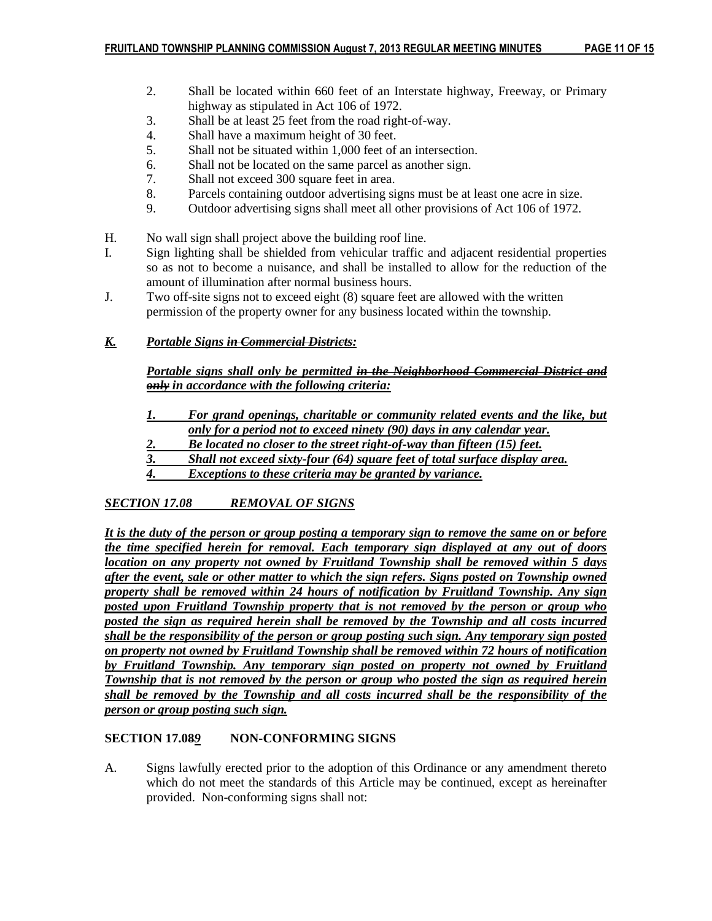- 2. Shall be located within 660 feet of an Interstate highway, Freeway, or Primary highway as stipulated in Act 106 of 1972.
- 3. Shall be at least 25 feet from the road right-of-way.
- 4. Shall have a maximum height of 30 feet.
- 5. Shall not be situated within 1,000 feet of an intersection.
- 6. Shall not be located on the same parcel as another sign.
- 7. Shall not exceed 300 square feet in area.
- 8. Parcels containing outdoor advertising signs must be at least one acre in size.
- 9. Outdoor advertising signs shall meet all other provisions of Act 106 of 1972.
- H. No wall sign shall project above the building roof line.
- I. Sign lighting shall be shielded from vehicular traffic and adjacent residential properties so as not to become a nuisance, and shall be installed to allow for the reduction of the amount of illumination after normal business hours.
- J. Two off-site signs not to exceed eight (8) square feet are allowed with the written permission of the property owner for any business located within the township.

# *K. Portable Signs in Commercial Districts:*

*Portable signs shall only be permitted in the Neighborhood Commercial District and only in accordance with the following criteria:*

- *1. For grand openings, charitable or community related events and the like, but only for a period not to exceed ninety (90) days in any calendar year.*
- *2. Be located no closer to the street right-of-way than fifteen (15) feet.*
- *3. Shall not exceed sixty-four (64) square feet of total surface display area.*
- *4. Exceptions to these criteria may be granted by variance.*

# *SECTION 17.08 REMOVAL OF SIGNS*

*It is the duty of the person or group posting a temporary sign to remove the same on or before the time specified herein for removal. Each temporary sign displayed at any out of doors location on any property not owned by Fruitland Township shall be removed within 5 days after the event, sale or other matter to which the sign refers. Signs posted on Township owned property shall be removed within 24 hours of notification by Fruitland Township. Any sign posted upon Fruitland Township property that is not removed by the person or group who posted the sign as required herein shall be removed by the Township and all costs incurred shall be the responsibility of the person or group posting such sign. Any temporary sign posted on property not owned by Fruitland Township shall be removed within 72 hours of notification by Fruitland Township. Any temporary sign posted on property not owned by Fruitland Township that is not removed by the person or group who posted the sign as required herein shall be removed by the Township and all costs incurred shall be the responsibility of the person or group posting such sign.*

### **SECTION 17.08***9* **NON-CONFORMING SIGNS**

A. Signs lawfully erected prior to the adoption of this Ordinance or any amendment thereto which do not meet the standards of this Article may be continued, except as hereinafter provided. Non-conforming signs shall not: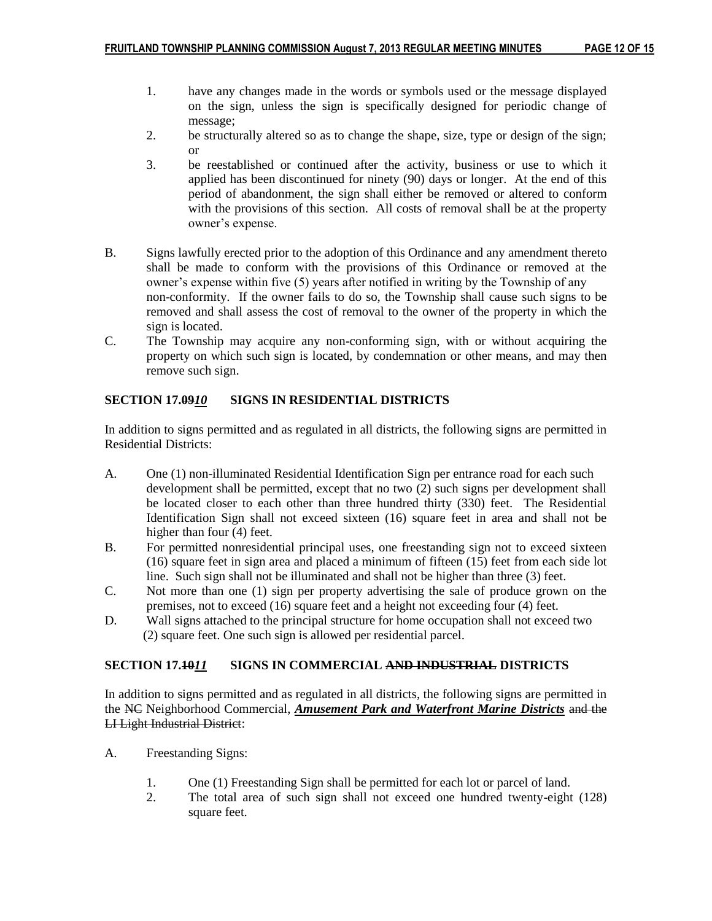- 1. have any changes made in the words or symbols used or the message displayed on the sign, unless the sign is specifically designed for periodic change of message;
- 2. be structurally altered so as to change the shape, size, type or design of the sign; or
- 3. be reestablished or continued after the activity, business or use to which it applied has been discontinued for ninety (90) days or longer. At the end of this period of abandonment, the sign shall either be removed or altered to conform with the provisions of this section. All costs of removal shall be at the property owner's expense.
- B. Signs lawfully erected prior to the adoption of this Ordinance and any amendment thereto shall be made to conform with the provisions of this Ordinance or removed at the owner's expense within five (5) years after notified in writing by the Township of any non-conformity. If the owner fails to do so, the Township shall cause such signs to be removed and shall assess the cost of removal to the owner of the property in which the sign is located.
- C. The Township may acquire any non-conforming sign, with or without acquiring the property on which such sign is located, by condemnation or other means, and may then remove such sign.

# **SECTION 17.09***10* **SIGNS IN RESIDENTIAL DISTRICTS**

In addition to signs permitted and as regulated in all districts, the following signs are permitted in Residential Districts:

- A. One (1) non-illuminated Residential Identification Sign per entrance road for each such development shall be permitted, except that no two (2) such signs per development shall be located closer to each other than three hundred thirty (330) feet. The Residential Identification Sign shall not exceed sixteen (16) square feet in area and shall not be higher than four (4) feet.
- B. For permitted nonresidential principal uses, one freestanding sign not to exceed sixteen (16) square feet in sign area and placed a minimum of fifteen (15) feet from each side lot line. Such sign shall not be illuminated and shall not be higher than three (3) feet.
- C. Not more than one (1) sign per property advertising the sale of produce grown on the premises, not to exceed (16) square feet and a height not exceeding four (4) feet.
- D. Wall signs attached to the principal structure for home occupation shall not exceed two (2) square feet. One such sign is allowed per residential parcel.

# **SECTION 17.10***11* **SIGNS IN COMMERCIAL AND INDUSTRIAL DISTRICTS**

In addition to signs permitted and as regulated in all districts, the following signs are permitted in the NC Neighborhood Commercial, *Amusement Park and Waterfront Marine Districts* and the LI Light Industrial District:

- A. Freestanding Signs:
	- 1. One (1) Freestanding Sign shall be permitted for each lot or parcel of land.
	- 2. The total area of such sign shall not exceed one hundred twenty-eight (128) square feet.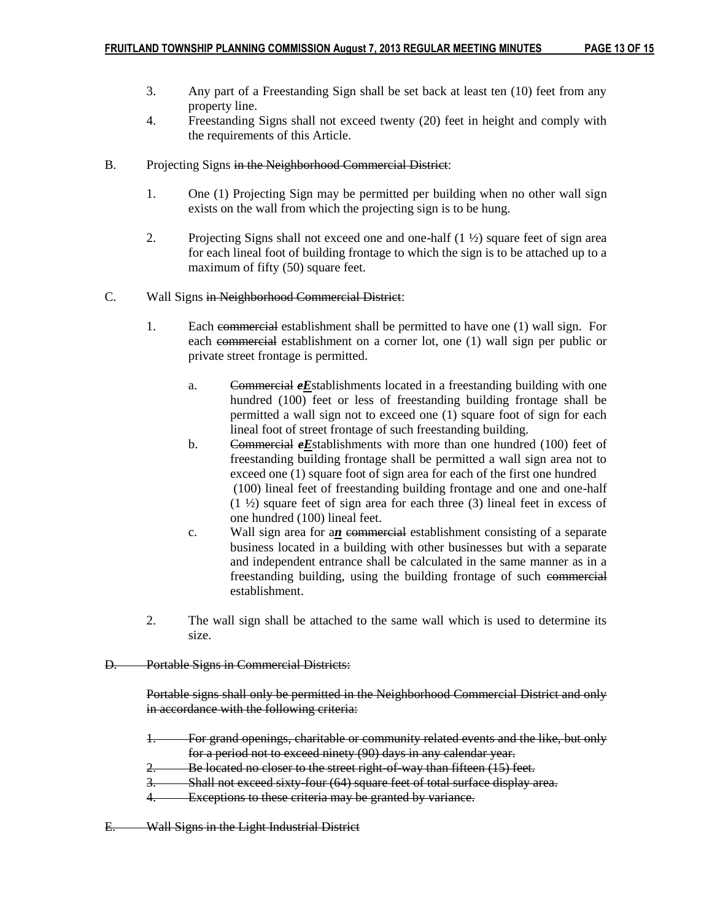- 3. Any part of a Freestanding Sign shall be set back at least ten (10) feet from any property line.
- 4. Freestanding Signs shall not exceed twenty (20) feet in height and comply with the requirements of this Article.
- B. Projecting Signs in the Neighborhood Commercial District:
	- 1. One (1) Projecting Sign may be permitted per building when no other wall sign exists on the wall from which the projecting sign is to be hung.
	- 2. Projecting Signs shall not exceed one and one-half  $(1 \frac{1}{2})$  square feet of sign area for each lineal foot of building frontage to which the sign is to be attached up to a maximum of fifty (50) square feet.
- C. Wall Signs in Neighborhood Commercial District:
	- 1. Each commercial establishment shall be permitted to have one (1) wall sign. For each commercial establishment on a corner lot, one (1) wall sign per public or private street frontage is permitted.
		- a. Commercial *eE*stablishments located in a freestanding building with one hundred (100) feet or less of freestanding building frontage shall be permitted a wall sign not to exceed one (1) square foot of sign for each lineal foot of street frontage of such freestanding building.
		- b. Commercial *eE*stablishments with more than one hundred (100) feet of freestanding building frontage shall be permitted a wall sign area not to exceed one (1) square foot of sign area for each of the first one hundred (100) lineal feet of freestanding building frontage and one and one-half  $(1 \frac{1}{2})$  square feet of sign area for each three (3) lineal feet in excess of one hundred (100) lineal feet.
		- c. Wall sign area for an commercial establishment consisting of a separate business located in a building with other businesses but with a separate and independent entrance shall be calculated in the same manner as in a freestanding building, using the building frontage of such commercial establishment.
	- 2. The wall sign shall be attached to the same wall which is used to determine its size.

### D. Portable Signs in Commercial Districts:

Portable signs shall only be permitted in the Neighborhood Commercial District and only in accordance with the following criteria:

- 1. For grand openings, charitable or community related events and the like, but only for a period not to exceed ninety (90) days in any calendar year.
- 2. Be located no closer to the street right-of-way than fifteen (15) feet.
- 3. Shall not exceed sixty-four (64) square feet of total surface display area.
- 4. Exceptions to these criteria may be granted by variance.
- E. Wall Signs in the Light Industrial District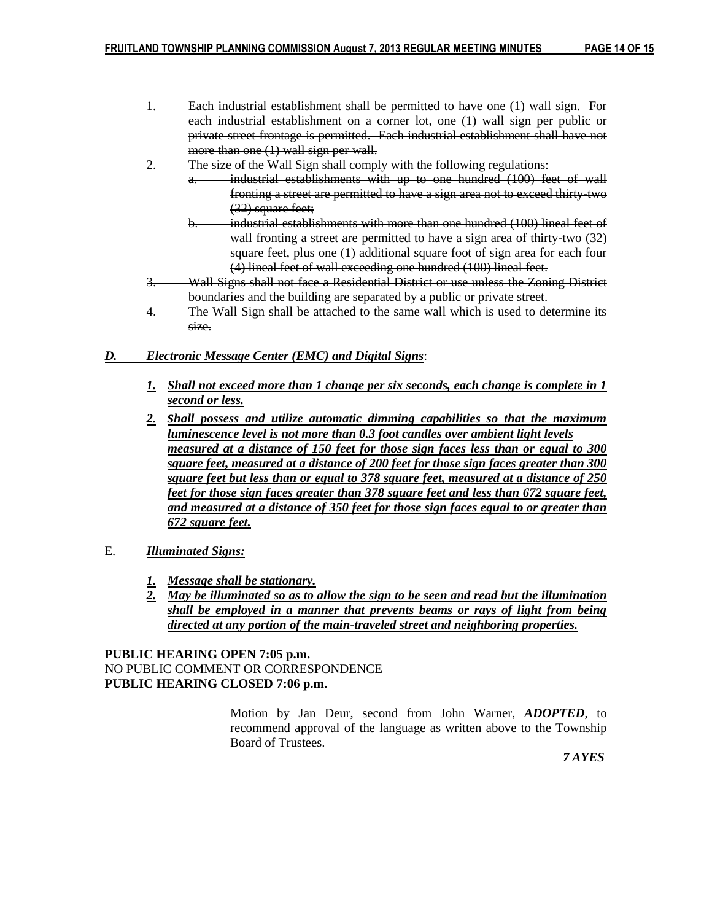- 1. Each industrial establishment shall be permitted to have one (1) wall sign. For each industrial establishment on a corner lot, one (1) wall sign per public or private street frontage is permitted. Each industrial establishment shall have not more than one (1) wall sign per wall.
- 2. The size of the Wall Sign shall comply with the following regulations:
	- industrial establishments with up to one hundred (100) feet of wall fronting a street are permitted to have a sign area not to exceed thirty-two (32) square feet;
	- b. industrial establishments with more than one hundred (100) lineal feet of wall fronting a street are permitted to have a sign area of thirty-two (32) square feet, plus one (1) additional square foot of sign area for each four (4) lineal feet of wall exceeding one hundred (100) lineal feet.
- 3. Wall Signs shall not face a Residential District or use unless the Zoning District boundaries and the building are separated by a public or private street.
- 4. The Wall Sign shall be attached to the same wall which is used to determine its size.

#### *D. Electronic Message Center (EMC) and Digital Signs*:

- *1. Shall not exceed more than 1 change per six seconds, each change is complete in 1 second or less.*
- *2. shall possess and utilize automatic dimming capabilities so that the maximum luminescence level is not more than 0.3 foot candles over ambient light levels measured at a distance of 150 feet for those sign faces less than or equal to 300 square feet, measured at a distance of 200 feet for those sign faces greater than 300 square feet but less than or equal to 378 square feet, measured at a distance of 250 feet for those sign faces greater than 378 square feet and less than 672 square feet, and measured at a distance of 350 feet for those sign faces equal to or greater than 672 square feet.*
- E. *Illuminated Signs:*
	- *1. Message shall be stationary.*
	- *2. May be illuminated so as to allow the sign to be seen and read but the illumination shall be employed in a manner that prevents beams or rays of light from being directed at any portion of the main-traveled street and neighboring properties.*

**PUBLIC HEARING OPEN 7:05 p.m.** NO PUBLIC COMMENT OR CORRESPONDENCE **PUBLIC HEARING CLOSED 7:06 p.m.**

> Motion by Jan Deur, second from John Warner, *ADOPTED*, to recommend approval of the language as written above to the Township Board of Trustees.

 *7 AYES*